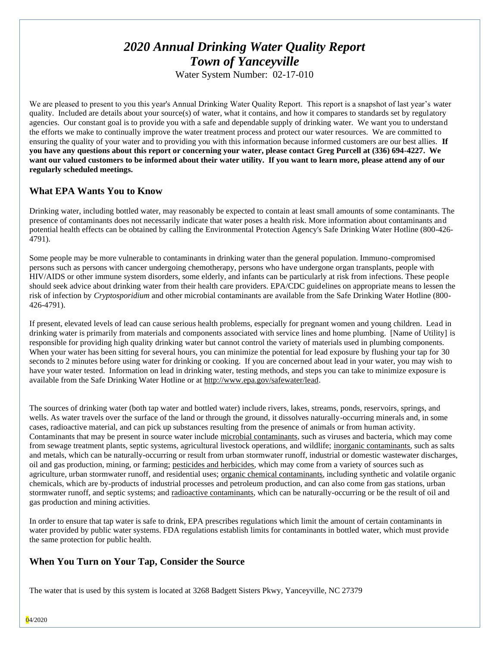# *2020 Annual Drinking Water Quality Report Town of Yanceyville*

Water System Number: 02-17-010

We are pleased to present to you this year's Annual Drinking Water Quality Report. This report is a snapshot of last year's water quality. Included are details about your source(s) of water, what it contains, and how it compares to standards set by regulatory agencies. Our constant goal is to provide you with a safe and dependable supply of drinking water. We want you to understand the efforts we make to continually improve the water treatment process and protect our water resources. We are committed to ensuring the quality of your water and to providing you with this information because informed customers are our best allies. **If you have any questions about this report or concerning your water, please contact Greg Purcell at (336) 694-4227. We want our valued customers to be informed about their water utility. If you want to learn more, please attend any of our regularly scheduled meetings.** 

## **What EPA Wants You to Know**

Drinking water, including bottled water, may reasonably be expected to contain at least small amounts of some contaminants. The presence of contaminants does not necessarily indicate that water poses a health risk. More information about contaminants and potential health effects can be obtained by calling the Environmental Protection Agency's Safe Drinking Water Hotline (800-426- 4791).

Some people may be more vulnerable to contaminants in drinking water than the general population. Immuno-compromised persons such as persons with cancer undergoing chemotherapy, persons who have undergone organ transplants, people with HIV/AIDS or other immune system disorders, some elderly, and infants can be particularly at risk from infections. These people should seek advice about drinking water from their health care providers. EPA/CDC guidelines on appropriate means to lessen the risk of infection by *Cryptosporidium* and other microbial contaminants are available from the Safe Drinking Water Hotline (800- 426-4791).

If present, elevated levels of lead can cause serious health problems, especially for pregnant women and young children. Lead in drinking water is primarily from materials and components associated with service lines and home plumbing. [Name of Utility] is responsible for providing high quality drinking water but cannot control the variety of materials used in plumbing components. When your water has been sitting for several hours, you can minimize the potential for lead exposure by flushing your tap for 30 seconds to 2 minutes before using water for drinking or cooking. If you are concerned about lead in your water, you may wish to have your water tested. Information on lead in drinking water, testing methods, and steps you can take to minimize exposure is available from the Safe Drinking Water Hotline or at [http://www.epa.gov/safewater/lead.](http://www.epa.gov/safewater/lead)

The sources of drinking water (both tap water and bottled water) include rivers, lakes, streams, ponds, reservoirs, springs, and wells. As water travels over the surface of the land or through the ground, it dissolves naturally-occurring minerals and, in some cases, radioactive material, and can pick up substances resulting from the presence of animals or from human activity. Contaminants that may be present in source water include microbial contaminants, such as viruses and bacteria, which may come from sewage treatment plants, septic systems, agricultural livestock operations, and wildlife; inorganic contaminants, such as salts and metals, which can be naturally-occurring or result from urban stormwater runoff, industrial or domestic wastewater discharges, oil and gas production, mining, or farming; pesticides and herbicides, which may come from a variety of sources such as agriculture, urban stormwater runoff, and residential uses; organic chemical contaminants, including synthetic and volatile organic chemicals, which are by-products of industrial processes and petroleum production, and can also come from gas stations, urban stormwater runoff, and septic systems; and radioactive contaminants, which can be naturally-occurring or be the result of oil and gas production and mining activities.

In order to ensure that tap water is safe to drink, EPA prescribes regulations which limit the amount of certain contaminants in water provided by public water systems. FDA regulations establish limits for contaminants in bottled water, which must provide the same protection for public health.

## **When You Turn on Your Tap, Consider the Source**

The water that is used by this system is located at 3268 Badgett Sisters Pkwy, Yanceyville, NC 27379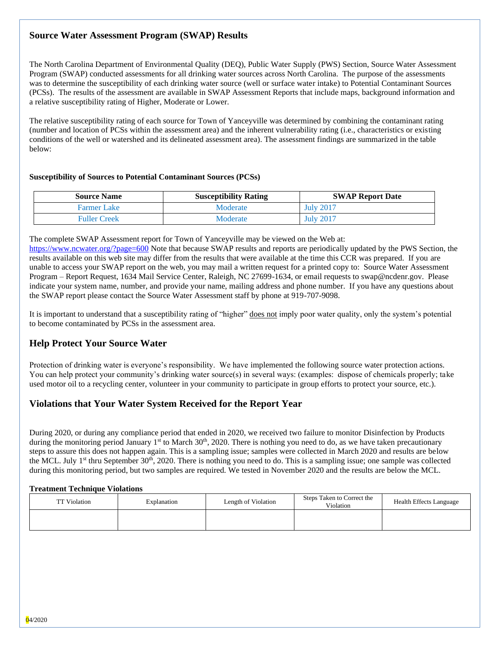## **Source Water Assessment Program (SWAP) Results**

The North Carolina Department of Environmental Quality (DEQ), Public Water Supply (PWS) Section, Source Water Assessment Program (SWAP) conducted assessments for all drinking water sources across North Carolina. The purpose of the assessments was to determine the susceptibility of each drinking water source (well or surface water intake) to Potential Contaminant Sources (PCSs). The results of the assessment are available in SWAP Assessment Reports that include maps, background information and a relative susceptibility rating of Higher, Moderate or Lower.

The relative susceptibility rating of each source for Town of Yanceyville was determined by combining the contaminant rating (number and location of PCSs within the assessment area) and the inherent vulnerability rating (i.e., characteristics or existing conditions of the well or watershed and its delineated assessment area). The assessment findings are summarized in the table below:

#### **Susceptibility of Sources to Potential Contaminant Sources (PCSs)**

| <b>Source Name</b>  | <b>Susceptibility Rating</b> | <b>SWAP Report Date</b> |
|---------------------|------------------------------|-------------------------|
| <b>Farmer Lake</b>  | Moderate                     | <b>July 2017</b>        |
| <b>Fuller Creek</b> | Moderate                     | <b>July 2017</b>        |

The complete SWAP Assessment report for Town of Yanceyville may be viewed on the Web at:

<https://www.ncwater.org/?page=600> Note that because SWAP results and reports are periodically updated by the PWS Section, the results available on this web site may differ from the results that were available at the time this CCR was prepared. If you are unable to access your SWAP report on the web, you may mail a written request for a printed copy to: Source Water Assessment Program – Report Request, 1634 Mail Service Center, Raleigh, NC 27699-1634, or email requests to swap@ncdenr.gov. Please indicate your system name, number, and provide your name, mailing address and phone number. If you have any questions about the SWAP report please contact the Source Water Assessment staff by phone at 919-707-9098.

It is important to understand that a susceptibility rating of "higher" does not imply poor water quality, only the system's potential to become contaminated by PCSs in the assessment area.

## **Help Protect Your Source Water**

Protection of drinking water is everyone's responsibility. We have implemented the following source water protection actions. You can help protect your community's drinking water source(s) in several ways: (examples: dispose of chemicals properly; take used motor oil to a recycling center, volunteer in your community to participate in group efforts to protect your source, etc.).

## **Violations that Your Water System Received for the Report Year**

During 2020, or during any compliance period that ended in 2020, we received two failure to monitor Disinfection by Products during the monitoring period January 1<sup>st</sup> to March 30<sup>th</sup>, 2020. There is nothing you need to do, as we have taken precautionary steps to assure this does not happen again. This is a sampling issue; samples were collected in March 2020 and results are below the MCL. July 1<sup>st</sup> thru September 30<sup>th</sup>, 2020. There is nothing you need to do. This is a sampling issue; one sample was collected during this monitoring period, but two samples are required. We tested in November 2020 and the results are below the MCL.

#### **Treatment Technique Violations**

| <b>TT</b> Violation | Explanation | Length of Violation | Steps Taken to Correct the<br>Violation | <b>Health Effects Language</b> |
|---------------------|-------------|---------------------|-----------------------------------------|--------------------------------|
|                     |             |                     |                                         |                                |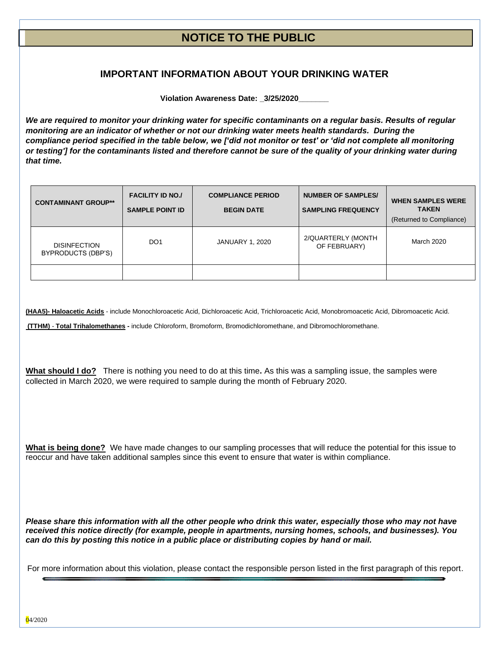## **NOTICE TO THE PUBLIC**

## **IMPORTANT INFORMATION ABOUT YOUR DRINKING WATER**

**Violation Awareness Date: \_3/25/2020\_\_\_\_\_\_\_**

*We are required to monitor your drinking water for specific contaminants on a regular basis. Results of regular monitoring are an indicator of whether or not our drinking water meets health standards. During the compliance period specified in the table below, we ['did not monitor or test' or 'did not complete all monitoring or testing'] for the contaminants listed and therefore cannot be sure of the quality of your drinking water during that time.* 

| <b>CONTAMINANT GROUP**</b>                | <b>FACILITY ID NO./</b><br><b>SAMPLE POINT ID</b> | <b>COMPLIANCE PERIOD</b><br><b>BEGIN DATE</b> | <b>NUMBER OF SAMPLES/</b><br><b>SAMPLING FREQUENCY</b> | <b>WHEN SAMPLES WERE</b><br><b>TAKEN</b><br>(Returned to Compliance) |
|-------------------------------------------|---------------------------------------------------|-----------------------------------------------|--------------------------------------------------------|----------------------------------------------------------------------|
| <b>DISINFECTION</b><br>BYPRODUCTS (DBP'S) | DO <sub>1</sub>                                   | <b>JANUARY 1, 2020</b>                        | 2/QUARTERLY (MONTH<br>OF FEBRUARY)                     | March 2020                                                           |
|                                           |                                                   |                                               |                                                        |                                                                      |

**(HAA5)- Haloacetic Acids** - include Monochloroacetic Acid, Dichloroacetic Acid, Trichloroacetic Acid, Monobromoacetic Acid, Dibromoacetic Acid.

**(TTHM)** - **Total Trihalomethanes -** include Chloroform, Bromoform, Bromodichloromethane, and Dibromochloromethane.

**What should I do?** There is nothing you need to do at this time**.** As this was a sampling issue, the samples were collected in March 2020, we were required to sample during the month of February 2020.

**What is being done?** We have made changes to our sampling processes that will reduce the potential for this issue to reoccur and have taken additional samples since this event to ensure that water is within compliance.

*Please share this information with all the other people who drink this water, especially those who may not have received this notice directly (for example, people in apartments, nursing homes, schools, and businesses). You can do this by posting this notice in a public place or distributing copies by hand or mail.*

For more information about this violation, please contact the responsible person listed in the first paragraph of this report.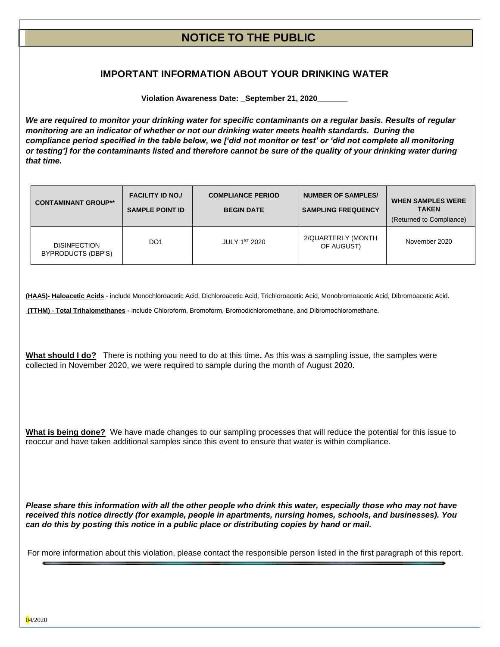## **NOTICE TO THE PUBLIC**

## **IMPORTANT INFORMATION ABOUT YOUR DRINKING WATER**

**Violation Awareness Date: \_September 21, 2020\_\_\_\_\_\_\_**

*We are required to monitor your drinking water for specific contaminants on a regular basis. Results of regular monitoring are an indicator of whether or not our drinking water meets health standards. During the compliance period specified in the table below, we ['did not monitor or test' or 'did not complete all monitoring or testing'] for the contaminants listed and therefore cannot be sure of the quality of your drinking water during that time.* 

| <b>CONTAMINANT GROUP**</b>                | <b>FACILITY ID NO./</b><br><b>SAMPLE POINT ID</b> | <b>COMPLIANCE PERIOD</b><br><b>BEGIN DATE</b> | <b>NUMBER OF SAMPLES/</b><br><b>SAMPLING FREQUENCY</b> | <b>WHEN SAMPLES WERE</b><br><b>TAKEN</b><br>(Returned to Compliance) |
|-------------------------------------------|---------------------------------------------------|-----------------------------------------------|--------------------------------------------------------|----------------------------------------------------------------------|
| <b>DISINFECTION</b><br>BYPRODUCTS (DBP'S) | DO <sub>1</sub>                                   | JULY 1ST 2020                                 | 2/QUARTERLY (MONTH<br>OF AUGUST)                       | November 2020                                                        |

**(HAA5)- Haloacetic Acids** - include Monochloroacetic Acid, Dichloroacetic Acid, Trichloroacetic Acid, Monobromoacetic Acid, Dibromoacetic Acid.

**(TTHM)** - **Total Trihalomethanes -** include Chloroform, Bromoform, Bromodichloromethane, and Dibromochloromethane.

**What should I do?** There is nothing you need to do at this time**.** As this was a sampling issue, the samples were collected in November 2020, we were required to sample during the month of August 2020.

**What is being done?** We have made changes to our sampling processes that will reduce the potential for this issue to reoccur and have taken additional samples since this event to ensure that water is within compliance.

*Please share this information with all the other people who drink this water, especially those who may not have received this notice directly (for example, people in apartments, nursing homes, schools, and businesses). You can do this by posting this notice in a public place or distributing copies by hand or mail.*

For more information about this violation, please contact the responsible person listed in the first paragraph of this report.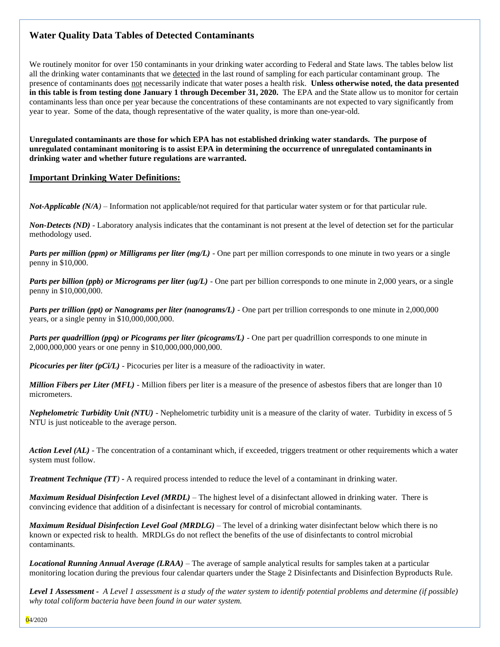## **Water Quality Data Tables of Detected Contaminants**

We routinely monitor for over 150 contaminants in your drinking water according to Federal and State laws. The tables below list all the drinking water contaminants that we detected in the last round of sampling for each particular contaminant group. The presence of contaminants does not necessarily indicate that water poses a health risk. **Unless otherwise noted, the data presented in this table is from testing done January 1 through December 31, 2020.** The EPA and the State allow us to monitor for certain contaminants less than once per year because the concentrations of these contaminants are not expected to vary significantly from year to year. Some of the data, though representative of the water quality, is more than one-year-old.

**Unregulated contaminants are those for which EPA has not established drinking water standards. The purpose of unregulated contaminant monitoring is to assist EPA in determining the occurrence of unregulated contaminants in drinking water and whether future regulations are warranted.** 

#### **Important Drinking Water Definitions:**

*Not-Applicable (N/A)* – Information not applicable/not required for that particular water system or for that particular rule.

*Non-Detects (ND)* - Laboratory analysis indicates that the contaminant is not present at the level of detection set for the particular methodology used.

*Parts per million (ppm) or Milligrams per liter (mg/L)* - One part per million corresponds to one minute in two years or a single penny in \$10,000.

*Parts per billion (ppb) or Micrograms per liter (ug/L)* - One part per billion corresponds to one minute in 2,000 years, or a single penny in \$10,000,000.

*Parts per trillion (ppt) or Nanograms per liter (nanograms/L)* - One part per trillion corresponds to one minute in 2,000,000 years, or a single penny in \$10,000,000,000.

*Parts per quadrillion (ppq) or Picograms per liter (picograms/L)* - One part per quadrillion corresponds to one minute in 2,000,000,000 years or one penny in \$10,000,000,000,000.

*Picocuries per liter (pCi/L)* - Picocuries per liter is a measure of the radioactivity in water.

*Million Fibers per Liter (MFL)* - Million fibers per liter is a measure of the presence of asbestos fibers that are longer than 10 micrometers.

*Nephelometric Turbidity Unit (NTU)* - Nephelometric turbidity unit is a measure of the clarity of water. Turbidity in excess of 5 NTU is just noticeable to the average person.

*Action Level (AL) -* The concentration of a contaminant which, if exceeded, triggers treatment or other requirements which a water system must follow.

*Treatment Technique (TT)* **-** A required process intended to reduce the level of a contaminant in drinking water.

*Maximum Residual Disinfection Level (MRDL)* – The highest level of a disinfectant allowed in drinking water. There is convincing evidence that addition of a disinfectant is necessary for control of microbial contaminants.

*Maximum Residual Disinfection Level Goal (MRDLG)* – The level of a drinking water disinfectant below which there is no known or expected risk to health. MRDLGs do not reflect the benefits of the use of disinfectants to control microbial contaminants.

*Locational Running Annual Average (LRAA)* – The average of sample analytical results for samples taken at a particular monitoring location during the previous four calendar quarters under the Stage 2 Disinfectants and Disinfection Byproducts Rule.

*Level 1 Assessment - A Level 1 assessment is a study of the water system to identify potential problems and determine (if possible) why total coliform bacteria have been found in our water system.*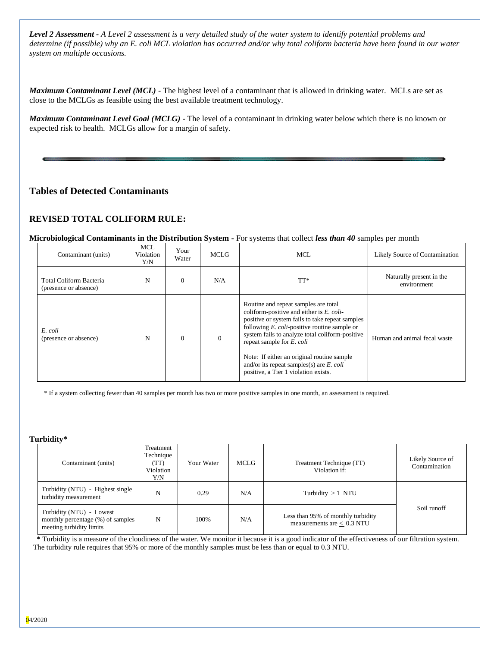*Level 2 Assessment - A Level 2 assessment is a very detailed study of the water system to identify potential problems and determine (if possible) why an E. coli MCL violation has occurred and/or why total coliform bacteria have been found in our water system on multiple occasions.*

*Maximum Contaminant Level (MCL)* - The highest level of a contaminant that is allowed in drinking water. MCLs are set as close to the MCLGs as feasible using the best available treatment technology.

*Maximum Contaminant Level Goal (MCLG)* - The level of a contaminant in drinking water below which there is no known or expected risk to health. MCLGs allow for a margin of safety.

## **Tables of Detected Contaminants**

#### **REVISED TOTAL COLIFORM RULE:**

#### **Microbiological Contaminants in the Distribution System -** For systems that collect *less than 40* samples per month

| Contaminant (units)                              | <b>MCL</b><br>Violation<br>Y/N | Your<br>Water | <b>MCLG</b>  | <b>MCL</b>                                                                                                                                                                                                                                                                                                                                                                                                        | Likely Source of Contamination          |
|--------------------------------------------------|--------------------------------|---------------|--------------|-------------------------------------------------------------------------------------------------------------------------------------------------------------------------------------------------------------------------------------------------------------------------------------------------------------------------------------------------------------------------------------------------------------------|-----------------------------------------|
| Total Coliform Bacteria<br>(presence or absence) | N                              | $\Omega$      | N/A          | $TT^*$                                                                                                                                                                                                                                                                                                                                                                                                            | Naturally present in the<br>environment |
| E. coli<br>(presence or absence)                 | N                              | $\Omega$      | $\mathbf{0}$ | Routine and repeat samples are total<br>coliform-positive and either is E. coli-<br>positive or system fails to take repeat samples<br>following $E.$ coli-positive routine sample or<br>system fails to analyze total coliform-positive<br>repeat sample for E. coli<br>Note: If either an original routine sample<br>and/or its repeat samples(s) are $E$ . <i>coli</i><br>positive, a Tier 1 violation exists. | Human and animal fecal waste            |

\* If a system collecting fewer than 40 samples per month has two or more positive samples in one month, an assessment is required.

#### **Turbidity\***

| Contaminant (units)                                                                       | Treatment<br>Technique<br>(TT)<br>Violation<br>Y/N | MCLG<br>Your Water |  | Treatment Technique (TT)<br>Violation if:                          | Likely Source of<br>Contamination |
|-------------------------------------------------------------------------------------------|----------------------------------------------------|--------------------|--|--------------------------------------------------------------------|-----------------------------------|
| Turbidity (NTU) - Highest single<br>turbidity measurement                                 | N                                                  | 0.29<br>N/A        |  | Turbidity $>1$ NTU                                                 |                                   |
| Turbidity (NTU) - Lowest<br>monthly percentage (%) of samples<br>meeting turbidity limits | N<br>100%<br>N/A                                   |                    |  | Less than 95% of monthly turbidity<br>measurements are $< 0.3$ NTU | Soil runoff                       |

 **\*** Turbidity is a measure of the cloudiness of the water. We monitor it because it is a good indicator of the effectiveness of our filtration system. The turbidity rule requires that 95% or more of the monthly samples must be less than or equal to 0.3 NTU.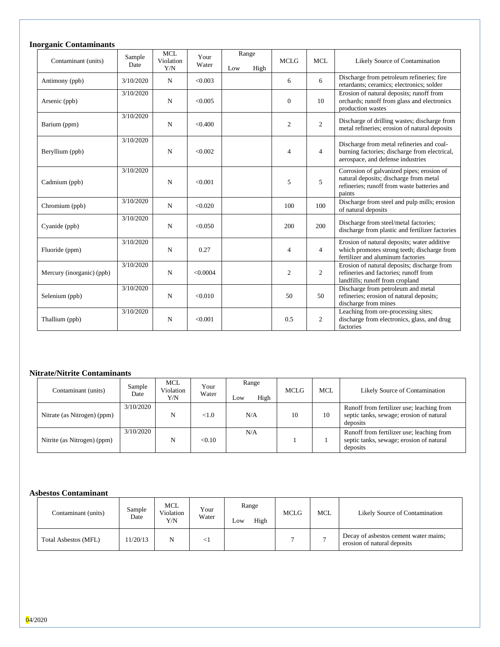## **Inorganic Contaminants**

| Contaminant (units)       | Sample<br>Date | <b>MCL</b><br>Violation<br>Y/N | Your<br>Water | Range<br>Low | High | <b>MCLG</b>    | <b>MCL</b>     | Likely Source of Contamination                                                                                                               |
|---------------------------|----------------|--------------------------------|---------------|--------------|------|----------------|----------------|----------------------------------------------------------------------------------------------------------------------------------------------|
| Antimony (ppb)            | 3/10/2020      | N                              | < 0.003       |              |      | 6              | 6              | Discharge from petroleum refineries; fire<br>retardants; ceramics; electronics; solder                                                       |
| Arsenic (ppb)             | 3/10/2020      | $\mathbf N$                    | < 0.005       |              |      | $\Omega$       | 10             | Erosion of natural deposits; runoff from<br>orchards; runoff from glass and electronics<br>production wastes                                 |
| Barium (ppm)              | 3/10/2020      | $\mathbf N$                    | < 0.400       |              |      | $\overline{c}$ | $\overline{c}$ | Discharge of drilling wastes; discharge from<br>metal refineries; erosion of natural deposits                                                |
| Beryllium (ppb)           | 3/10/2020      | $\mathbf N$                    | < 0.002       |              |      | $\overline{4}$ | $\overline{4}$ | Discharge from metal refineries and coal-<br>burning factories; discharge from electrical,<br>aerospace, and defense industries              |
| Cadmium (ppb)             | 3/10/2020      | $\mathbf N$                    | < 0.001       |              |      | 5              | 5              | Corrosion of galvanized pipes; erosion of<br>natural deposits; discharge from metal<br>refineries: runoff from waste batteries and<br>paints |
| Chromium (ppb)            | 3/10/2020      | N                              | < 0.020       |              |      | 100            | 100            | Discharge from steel and pulp mills; erosion<br>of natural deposits                                                                          |
| Cyanide (ppb)             | 3/10/2020      | $\mathbf N$                    | < 0.050       |              |      | 200            | 200            | Discharge from steel/metal factories;<br>discharge from plastic and fertilizer factories                                                     |
| Fluoride (ppm)            | 3/10/2020      | N                              | 0.27          |              |      | $\overline{4}$ | $\overline{4}$ | Erosion of natural deposits; water additive<br>which promotes strong teeth; discharge from<br>fertilizer and aluminum factories              |
| Mercury (inorganic) (ppb) | 3/10/2020      | N                              | < 0.0004      |              |      | 2              | 2              | Erosion of natural deposits; discharge from<br>refineries and factories: runoff from<br>landfills; runoff from cropland                      |
| Selenium (ppb)            | 3/10/2020      | $\mathbf N$                    | < 0.010       |              |      | 50             | 50             | Discharge from petroleum and metal<br>refineries; erosion of natural deposits;<br>discharge from mines                                       |
| Thallium (ppb)            | 3/10/2020      | $\mathbf N$                    | < 0.001       |              |      | 0.5            | $\overline{2}$ | Leaching from ore-processing sites;<br>discharge from electronics, glass, and drug<br>factories                                              |

#### **Nitrate/Nitrite Contaminants**

| Contaminant (units)         | Sample<br>Date | MCL<br>Violation<br>Y/N | Your<br>Water | Range<br>High<br>LOW | <b>MCLG</b> | <b>MCL</b> | Likely Source of Contamination                                                                    |
|-----------------------------|----------------|-------------------------|---------------|----------------------|-------------|------------|---------------------------------------------------------------------------------------------------|
| Nitrate (as Nitrogen) (ppm) | 3/10/2020      | N                       | < 1.0         | N/A                  | 10          | 10         | Runoff from fertilizer use; leaching from<br>septic tanks, sewage; erosion of natural<br>deposits |
| Nitrite (as Nitrogen) (ppm) | 3/10/2020      | N                       | < 0.10        | N/A                  |             |            | Runoff from fertilizer use; leaching from<br>septic tanks, sewage; erosion of natural<br>deposits |

#### **Asbestos Contaminant**

| Contaminant (units)         | Sample<br>Date | MCL<br>Violation<br>Y/N | Your<br>Water | Range<br>High<br>$L$ OW | <b>MCLG</b> | <b>MCL</b> | Likely Source of Contamination                                       |
|-----------------------------|----------------|-------------------------|---------------|-------------------------|-------------|------------|----------------------------------------------------------------------|
| <b>Total Asbestos (MFL)</b> | 11/20/13       |                         |               |                         |             |            | Decay of asbestos cement water mains;<br>erosion of natural deposits |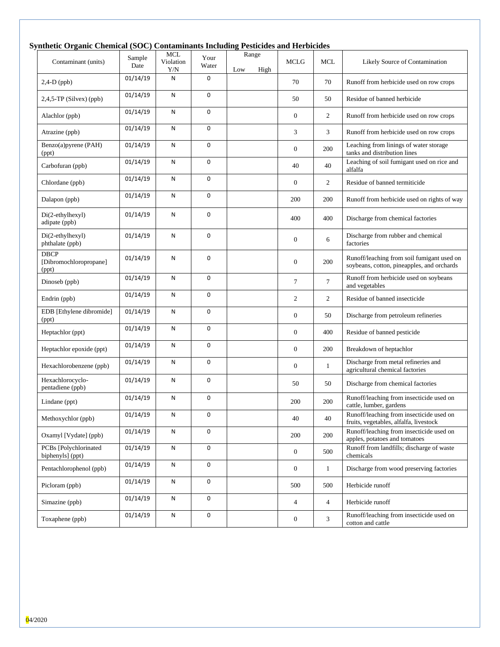### **Synthetic Organic Chemical (SOC) Contaminants Including Pesticides and Herbicides**

| Contaminant (units)                            | Sample<br>Date | <b>MCL</b><br>Violation<br>Y/N | Your<br>Water | Range<br>Low<br>High | <b>MCLG</b>      | <b>MCL</b>     | Likely Source of Contamination                                                           |
|------------------------------------------------|----------------|--------------------------------|---------------|----------------------|------------------|----------------|------------------------------------------------------------------------------------------|
| $2,4-D$ (ppb)                                  | 01/14/19       | N                              | 0             |                      | 70               | 70             | Runoff from herbicide used on row crops                                                  |
| $2,4,5$ -TP (Silvex) (ppb)                     | 01/14/19       | N                              | 0             |                      | 50               | 50             | Residue of banned herbicide                                                              |
| Alachlor (ppb)                                 | 01/14/19       | N                              | 0             |                      | $\mathbf{0}$     | 2              | Runoff from herbicide used on row crops                                                  |
| Atrazine (ppb)                                 | 01/14/19       | N                              | 0             |                      | 3                | 3              | Runoff from herbicide used on row crops                                                  |
| Benzo(a)pyrene (PAH)<br>(ppt)                  | 01/14/19       | N                              | 0             |                      | $\mathbf{0}$     | 200            | Leaching from linings of water storage<br>tanks and distribution lines                   |
| Carbofuran (ppb)                               | 01/14/19       | N                              | 0             |                      | 40               | 40             | Leaching of soil fumigant used on rice and<br>alfalfa                                    |
| Chlordane (ppb)                                | 01/14/19       | N                              | 0             |                      | $\mathbf{0}$     | 2              | Residue of banned termiticide                                                            |
| Dalapon (ppb)                                  | 01/14/19       | N                              | 0             |                      | 200              | 200            | Runoff from herbicide used on rights of way                                              |
| Di(2-ethylhexyl)<br>adipate (ppb)              | 01/14/19       | N                              | 0             |                      | 400              | 400            | Discharge from chemical factories                                                        |
| Di(2-ethylhexyl)<br>phthalate (ppb)            | 01/14/19       | N                              | 0             |                      | $\boldsymbol{0}$ | 6              | Discharge from rubber and chemical<br>factories                                          |
| <b>DBCP</b><br>[Dibromochloropropane]<br>(ppt) | 01/14/19       | Ν                              | 0             |                      | $\mathbf{0}$     | 200            | Runoff/leaching from soil fumigant used on<br>soybeans, cotton, pineapples, and orchards |
| Dinoseb (ppb)                                  | 01/14/19       | N                              | 0             |                      | $\tau$           | $\tau$         | Runoff from herbicide used on soybeans<br>and vegetables                                 |
| Endrin (ppb)                                   | 01/14/19       | N                              | 0             |                      | $\overline{2}$   | $\overline{2}$ | Residue of banned insecticide                                                            |
| EDB [Ethylene dibromide]<br>(ppt)              | 01/14/19       | N                              | 0             |                      | $\mathbf{0}$     | 50             | Discharge from petroleum refineries                                                      |
| Heptachlor (ppt)                               | 01/14/19       | N                              | 0             |                      | $\boldsymbol{0}$ | 400            | Residue of banned pesticide                                                              |
| Heptachlor epoxide (ppt)                       | 01/14/19       | N                              | 0             |                      | $\overline{0}$   | 200            | Breakdown of heptachlor                                                                  |
| Hexachlorobenzene (ppb)                        | 01/14/19       | N                              | 0             |                      | $\mathbf{0}$     | 1              | Discharge from metal refineries and<br>agricultural chemical factories                   |
| Hexachlorocyclo-<br>pentadiene (ppb)           | 01/14/19       | N                              | 0             |                      | 50               | 50             | Discharge from chemical factories                                                        |
| Lindane (ppt)                                  | 01/14/19       | N                              | 0             |                      | 200              | 200            | Runoff/leaching from insecticide used on<br>cattle, lumber, gardens                      |
| Methoxychlor (ppb)                             | 01/14/19       | Ν                              | 0             |                      | 40               | 40             | Runoff/leaching from insecticide used on<br>fruits, vegetables, alfalfa, livestock       |
| Oxamyl [Vydate] (ppb)                          | 01/14/19       | N                              | 0             |                      | 200              | 200            | Runoff/leaching from insecticide used on<br>apples, potatoes and tomatoes                |
| PCBs [Polychlorinated<br>biphenyls] (ppt)      | 01/14/19       | N                              | 0             |                      | $\boldsymbol{0}$ | 500            | Runoff from landfills; discharge of waste<br>chemicals                                   |
| Pentachlorophenol (ppb)                        | 01/14/19       | ${\sf N}$                      | 0             |                      | $\mathbf{0}$     | $\mathbf{1}$   | Discharge from wood preserving factories                                                 |
| Picloram (ppb)                                 | 01/14/19       | ${\sf N}$                      | 0             |                      | 500              | 500            | Herbicide runoff                                                                         |
| Simazine (ppb)                                 | 01/14/19       | N                              | 0             |                      | $\overline{4}$   | $\overline{4}$ | Herbicide runoff                                                                         |
| Toxaphene (ppb)                                | 01/14/19       | N                              | 0             |                      | $\mathbf{0}$     | 3              | Runoff/leaching from insecticide used on<br>cotton and cattle                            |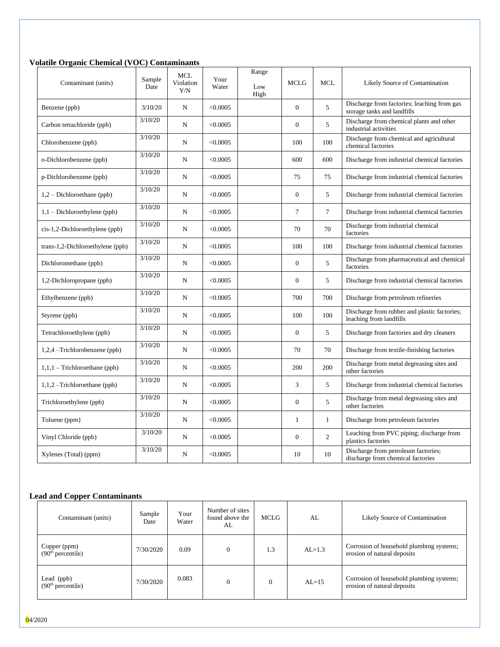#### **Volatile Organic Chemical (VOC) Contaminants**

| Contaminant (units)              | Sample<br>Date | <b>MCL</b><br>Violation<br>Y/N | Your<br>Water | Range<br>Low<br>High | <b>MCLG</b>      | <b>MCL</b>     | Likely Source of Contamination                                             |
|----------------------------------|----------------|--------------------------------|---------------|----------------------|------------------|----------------|----------------------------------------------------------------------------|
| Benzene (ppb)                    | 3/10/20        | ${\bf N}$                      | < 0.0005      |                      | $\boldsymbol{0}$ | 5              | Discharge from factories; leaching from gas<br>storage tanks and landfills |
| Carbon tetrachloride (ppb)       | 3/10/20        | N                              | < 0.0005      |                      | $\overline{0}$   | 5              | Discharge from chemical plants and other<br>industrial activities          |
| Chlorobenzene (ppb)              | 3/10/20        | $\mathbf N$                    | < 0.0005      |                      | 100              | 100            | Discharge from chemical and agricultural<br>chemical factories             |
| o-Dichlorobenzene (ppb)          | 3/10/20        | ${\bf N}$                      | < 0.0005      |                      | 600              | 600            | Discharge from industrial chemical factories                               |
| p-Dichlorobenzene (ppb)          | 3/10/20        | N                              | < 0.0005      |                      | 75               | 75             | Discharge from industrial chemical factories                               |
| $1,2$ – Dichloroethane (ppb)     | 3/10/20        | $\mathbf N$                    | < 0.0005      |                      | $\Omega$         | 5              | Discharge from industrial chemical factories                               |
| $1,1$ – Dichloroethylene (ppb)   | 3/10/20        | ${\bf N}$                      | < 0.0005      |                      | $\tau$           | $\tau$         | Discharge from industrial chemical factories                               |
| cis-1,2-Dichloroethylene (ppb)   | 3/10/20        | $_{\rm N}$                     | < 0.0005      |                      | 70               | 70             | Discharge from industrial chemical<br>factories                            |
| trans-1,2-Dichloroethylene (ppb) | 3/10/20        | $_{\rm N}$                     | < 0.0005      |                      | 100              | 100            | Discharge from industrial chemical factories                               |
| Dichloromethane (ppb)            | 3/10/20        | $\mathbf N$                    | < 0.0005      |                      | $\overline{0}$   | 5              | Discharge from pharmaceutical and chemical<br>factories                    |
| 1,2-Dichloropropane (ppb)        | 3/10/20        | $_{\rm N}$                     | < 0.0005      |                      | $\overline{0}$   | 5              | Discharge from industrial chemical factories                               |
| Ethylbenzene (ppb)               | 3/10/20        | ${\bf N}$                      | < 0.0005      |                      | 700              | 700            | Discharge from petroleum refineries                                        |
| Styrene (ppb)                    | 3/10/20        | $_{\rm N}$                     | < 0.0005      |                      | 100              | 100            | Discharge from rubber and plastic factories;<br>leaching from landfills    |
| Tetrachloroethylene (ppb)        | 3/10/20        | $_{\rm N}$                     | < 0.0005      |                      | $\Omega$         | 5              | Discharge from factories and dry cleaners                                  |
| $1,2,4$ –Trichlorobenzene (ppb)  | 3/10/20        | $_{\rm N}$                     | < 0.0005      |                      | 70               | 70             | Discharge from textile-finishing factories                                 |
| $1,1,1$ – Trichloroethane (ppb)  | 3/10/20        | $\mathbf N$                    | < 0.0005      |                      | 200              | 200            | Discharge from metal degreasing sites and<br>other factories               |
| $1,1,2$ –Trichloroethane (ppb)   | 3/10/20        | $_{\rm N}$                     | < 0.0005      |                      | 3                | 5              | Discharge from industrial chemical factories                               |
| Trichloroethylene (ppb)          | 3/10/20        | $_{\rm N}$                     | < 0.0005      |                      | $\overline{0}$   | 5              | Discharge from metal degreasing sites and<br>other factories               |
| Toluene (ppm)                    | 3/10/20        | $\mathbf N$                    | < 0.0005      |                      | $\mathbf{1}$     | $\mathbf{1}$   | Discharge from petroleum factories                                         |
| Vinyl Chloride (ppb)             | 3/10/20        | $_{\rm N}$                     | < 0.0005      |                      | $\boldsymbol{0}$ | $\overline{2}$ | Leaching from PVC piping; discharge from<br>plastics factories             |
| Xylenes (Total) (ppm)            | 3/10/20        | N                              | < 0.0005      |                      | 10               | 10             | Discharge from petroleum factories;<br>discharge from chemical factories   |

## **Lead and Copper Contaminants**

| Contaminant (units)                           | Sample<br>Date | Your<br>Water | Number of sites<br>found above the<br>AL | MCLG | AL       | Likely Source of Contamination                                          |  |
|-----------------------------------------------|----------------|---------------|------------------------------------------|------|----------|-------------------------------------------------------------------------|--|
| Copper (ppm)<br>(90 <sup>th</sup> percentile) | 7/30/2020      | 0.09          | $\theta$                                 | 1.3  | $AL=1.3$ | Corrosion of household plumbing systems;<br>erosion of natural deposits |  |
| Lead (ppb)<br>(90 <sup>th</sup> percentile)   | 7/30/2020      | 0.083         | $\theta$                                 |      | $AL=15$  | Corrosion of household plumbing systems;<br>erosion of natural deposits |  |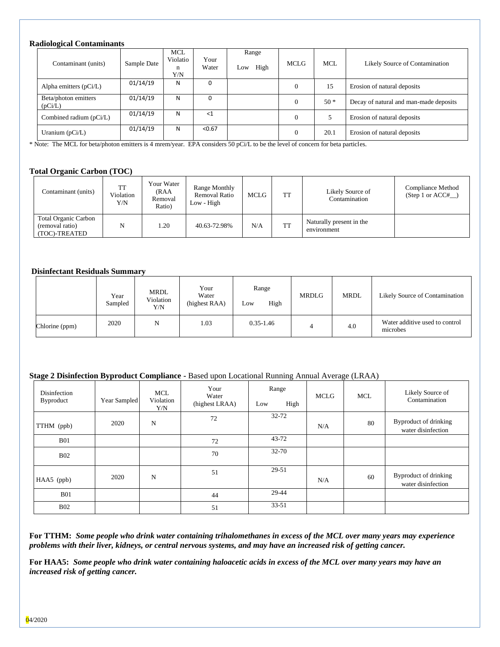#### **Radiological Contaminants**

| Contaminant (units)             | Sample Date | <b>MCL</b><br>Violatio<br>n<br>Y/N | Your<br>Water | Range<br>High<br>LOW | <b>MCLG</b>  | <b>MCL</b> | Likely Source of Contamination         |
|---------------------------------|-------------|------------------------------------|---------------|----------------------|--------------|------------|----------------------------------------|
| Alpha emitters $(pCi/L)$        | 01/14/19    | N                                  | 0             |                      | $\mathbf{0}$ | 15         | Erosion of natural deposits            |
| Beta/photon emitters<br>(pCi/L) | 01/14/19    | N                                  | 0             |                      | $\theta$     | $50*$      | Decay of natural and man-made deposits |
| Combined radium (pCi/L)         | 01/14/19    | N                                  | ${<}1$        |                      | $\theta$     |            | Erosion of natural deposits            |
| Uranium $(pCi/L)$               | 01/14/19    | N                                  | < 0.67        |                      | $\theta$     | 20.1       | Erosion of natural deposits            |

\* Note: The MCL for beta/photon emitters is 4 mrem/year. EPA considers 50 pCi/L to be the level of concern for beta particles.

#### **Total Organic Carbon (TOC)**

| Contaminant (units)                                             | TT<br>Violation<br>Y/N | Your Water<br>(RAA<br>Removal<br>Ratio) | Range Monthly<br>Removal Ratio<br>Low - High | MCLG | <b>TT</b> | Likely Source of<br>Contamination       | Compliance Method<br>(Step 1 or $ACC#$ ) |
|-----------------------------------------------------------------|------------------------|-----------------------------------------|----------------------------------------------|------|-----------|-----------------------------------------|------------------------------------------|
| <b>Total Organic Carbon</b><br>(removal ratio)<br>(TOC)-TREATED | N                      | 1.20                                    | 40.63-72.98%                                 | N/A  | <b>TT</b> | Naturally present in the<br>environment |                                          |

#### **Disinfectant Residuals Summary**

|                | Year<br>Sampled | MRDL<br>Violation<br>Y/N | Your<br>Water<br>(highest RAA) | Range<br>High<br>Low | <b>MRDLG</b> | <b>MRDL</b> | Likely Source of Contamination             |
|----------------|-----------------|--------------------------|--------------------------------|----------------------|--------------|-------------|--------------------------------------------|
| Chlorine (ppm) | 2020            | N                        | 1.03                           | $0.35 - 1.46$        | 4            | 4.0         | Water additive used to control<br>microbes |

#### **Stage 2 Disinfection Byproduct Compliance -** Based upon Locational Running Annual Average (LRAA)

| Disinfection<br><b>Byproduct</b> | Year Sampled | MCL<br>Violation<br>Y/N | Your<br>Water<br>(highest LRAA) | Range<br>High<br>Low | <b>MCLG</b> | <b>MCL</b> | Likely Source of<br>Contamination           |
|----------------------------------|--------------|-------------------------|---------------------------------|----------------------|-------------|------------|---------------------------------------------|
| TTHM (ppb)                       | 2020         | N                       | 72                              | 32-72                | N/A         | 80         | Byproduct of drinking<br>water disinfection |
| <b>B01</b>                       |              |                         | 72                              | $43 - 72$            |             |            |                                             |
| <b>B02</b>                       |              |                         | 70                              | 32-70                |             |            |                                             |
| HAA5 (ppb)                       | 2020         | N                       | 51                              | 29-51                | N/A         | 60         | Byproduct of drinking<br>water disinfection |
| <b>B01</b>                       |              |                         | 44                              | 29-44                |             |            |                                             |
| <b>B02</b>                       |              |                         | 51                              | $33 - 51$            |             |            |                                             |

**For TTHM:** *Some people who drink water containing trihalomethanes in excess of the MCL over many years may experience problems with their liver, kidneys, or central nervous systems, and may have an increased risk of getting cancer.*

**For HAA5:** *Some people who drink water containing haloacetic acids in excess of the MCL over many years may have an increased risk of getting cancer.*